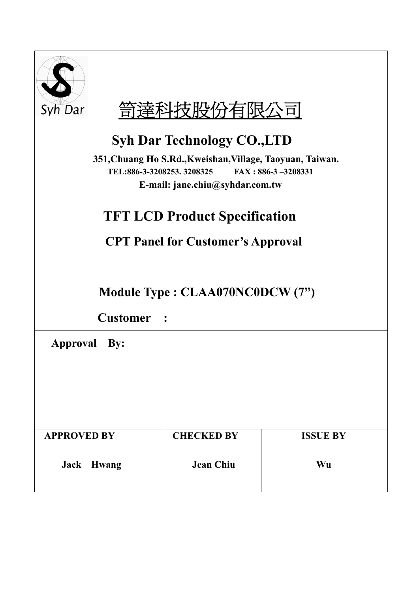



## **Syh Dar Technology CO.,LTD**

**351,Chuang Ho S.Rd.,Kweishan,Village, Taoyuan, Taiwan. TEL:886-3-3208253. 3208325 FAX : 886-3 –3208331 E-mail: jane.chiu@syhdar.com.tw** 

## **TFT LCD Product Specification**

**CPT Panel for Customer's Approval** 

**Module Type : CLAA070NC0DCW (7")** 

**Customer :** 

 **Approval By:** 

| <b>APPROVED BY</b> | <b>CHECKED BY</b> | <b>ISSUE BY</b> |
|--------------------|-------------------|-----------------|
| Jack Hwang         | <b>Jean Chiu</b>  | Wu              |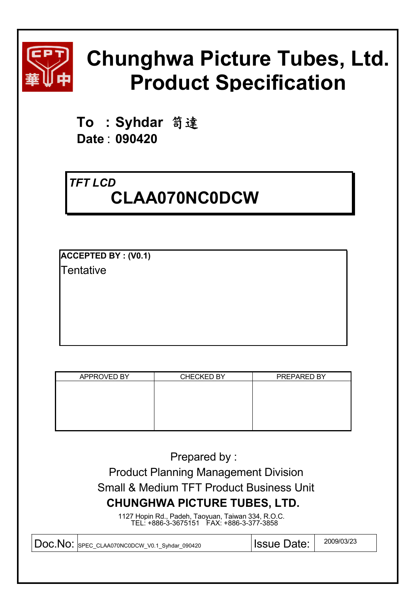

# **Chunghwa Picture Tubes, Ltd. Product Specification**

**To : Syhdar** 笥達 **Date** : **090420** 

### *TFT LCD* **CLAA070NC0DCW**

**ACCEPTED BY : (V0.1)** Tentative

| APPROVED BY | <b>CHECKED BY</b> | PREPARED BY |
|-------------|-------------------|-------------|
|             |                   |             |
|             |                   |             |
|             |                   |             |
|             |                   |             |
|             |                   |             |
|             |                   |             |

Prepared by :

 Product Planning Management Division Small & Medium TFT Product Business Unit **CHUNGHWA PICTURE TUBES, LTD.**

1127 Hopin Rd., Padeh, Taoyuan, Taiwan 334, R.O.C. TEL: +886-3-3675151 FAX: +886-3-377-3858

| DOC. NO: SPEC CLAA070NC0DCW V0.1 Syndar 090420 | <b>Issue Date:</b> | 2009/03/23 |
|------------------------------------------------|--------------------|------------|
|                                                |                    |            |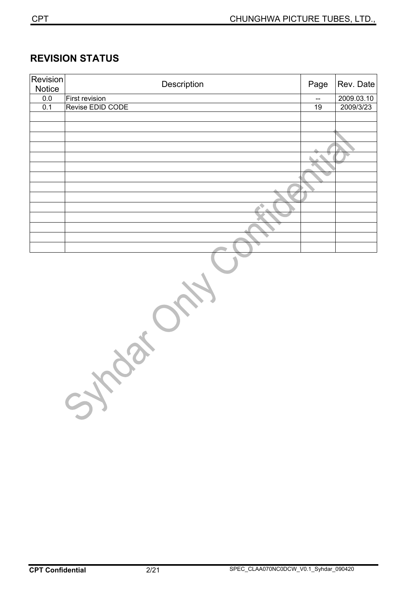#### **REVISION STATUS**

| <b>Revision</b><br>Notice | Description      | Page | Rev. Date  |
|---------------------------|------------------|------|------------|
| $0.0\,$                   | First revision   | --   | 2009.03.10 |
| 0.1                       | Revise EDID CODE | 19   | 2009/3/23  |
|                           |                  |      |            |
|                           |                  |      |            |
|                           |                  |      |            |
|                           |                  |      |            |
|                           |                  |      |            |
|                           |                  |      |            |
|                           |                  |      |            |
|                           |                  |      |            |
|                           |                  |      |            |
|                           |                  |      |            |
|                           |                  |      |            |
|                           |                  |      |            |
|                           |                  |      |            |
|                           |                  |      |            |

Sylvestre Ory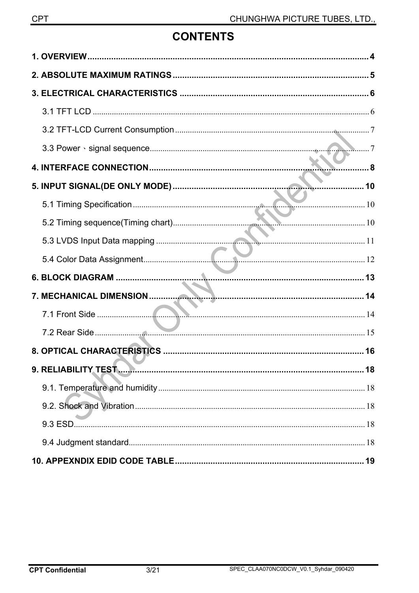### **CONTENTS**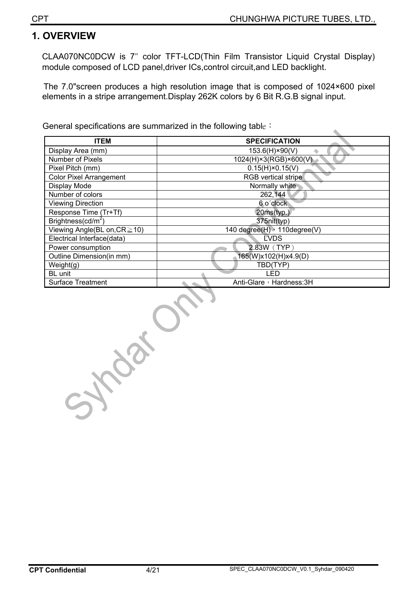$\blacktriangle$ 

#### **1. OVERVIEW**

CLAA070NC0DCW is 7" color TFT-LCD(Thin Film Transistor Liquid Crystal Display) module composed of LCD panel,driver ICs,control circuit,and LED backlight.

The 7.0"screen produces a high resolution image that is composed of 1024×600 pixel elements in a stripe arrangement.Display 262K colors by 6 Bit R.G.B signal input.

General specifications are summarized in the following table :

| <b>ITEM</b>                        | <b>SPECIFICATION</b>         |
|------------------------------------|------------------------------|
| Display Area (mm)                  | 153.6(H)×90(V)               |
| Number of Pixels                   | 1024(H)×3(RGB)×600(V)        |
| Pixel Pitch (mm)                   | $0.15(H) \times 0.15(V)$     |
| <b>Color Pixel Arrangement</b>     | RGB vertical stripe          |
| Display Mode                       | Normally white               |
| Number of colors                   | 262,144                      |
| <b>Viewing Direction</b>           | 6 o'clock                    |
| Response Time (Tr+Tf)              | 20ms(typ.)                   |
| Brightness( $cd/m2$ )              | 375nit(typ)                  |
| Viewing Angle(BL on, $CR \ge 10$ ) | 140 degree(H) > 110degree(V) |
| Electrical Interface(data)         | <b>LVDS</b>                  |
| Power consumption                  | 2.83W (TYP)                  |
| Outline Dimension(in mm)           | 165(W)x102(H)x4.9(D)         |
| Weight(g)                          | TBD(TYP)                     |
| BL unit                            | I ED                         |
| <b>Surface Treatment</b>           | Anti-Glare, Hardness: 3H     |

Sylveston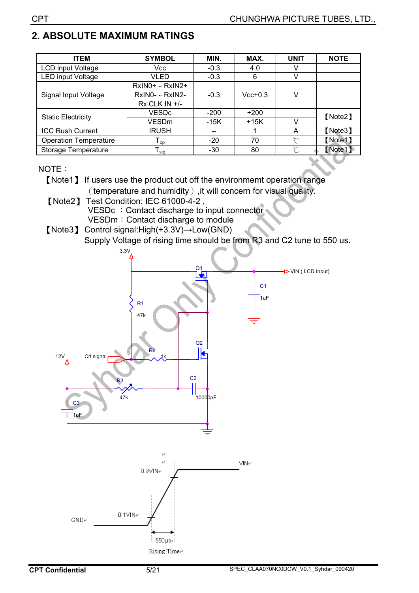### **2. ABSOLUTE MAXIMUM RATINGS**

| <b>ITEM</b>                  | <b>SYMBOL</b>                                               | MIN.   | MAX.      | <b>UNIT</b>          | <b>NOTE</b> |  |
|------------------------------|-------------------------------------------------------------|--------|-----------|----------------------|-------------|--|
| LCD input Voltage            | Vcc                                                         | $-0.3$ | 4.0       |                      |             |  |
| <b>LED input Voltage</b>     | VLED                                                        | $-0.3$ | 6         | V                    |             |  |
| Signal Input Voltage         | $RxIN0+ \sim RxIN2+$<br>$RxINO - xRxINO -$<br>Rx CLK IN +/- | $-0.3$ | $Vcc+0.3$ | v                    |             |  |
|                              | <b>VESDc</b>                                                | $-200$ | $+200$    |                      | [Note2]     |  |
| <b>Static Electricity</b>    | VESDm                                                       | -15K   | $+15K$    |                      |             |  |
| <b>ICC Rush Current</b>      | <b>IRUSH</b>                                                | $- -$  |           | A                    | [Note3]     |  |
| <b>Operation Temperature</b> | $\mathsf{T}_{\mathsf{op}}$                                  | $-20$  | 70        | $\mathrm{C}^{\circ}$ | [Note1]     |  |
| Storage Temperature          | $I_{\text{stg}}$                                            | -30    | 80        | $^{\circ}$ C         | [Note1]     |  |

#### NOTE:

- [Note1] If users use the product out off the environmemt operation range (temperature and humidity), it will concern for visual quality.
	- [Note2] Test Condition: IEC 61000-4-2, VESDc : Contact discharge to input connector VESDm: Contact discharge to module
- [Note3] Control signal: High( $+3.3V$ )  $\rightarrow$  Low(GND) Supply Voltage of rising time should be from R3 and C2 tune to 550 us.

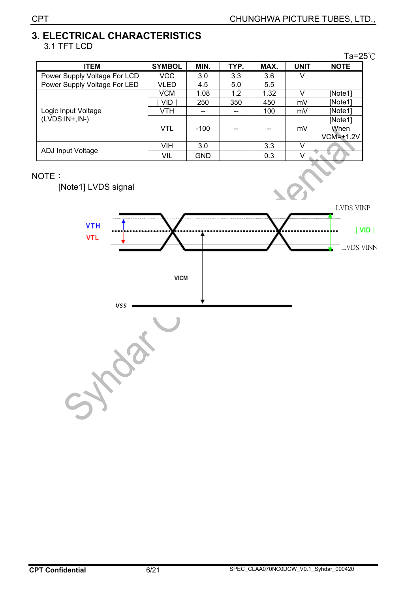#### **3. ELECTRICAL CHARACTERISTICS**  3.1 TFT LCD

|                              |               |            |      |      |             | Ta=25℃                         |
|------------------------------|---------------|------------|------|------|-------------|--------------------------------|
| <b>ITEM</b>                  | <b>SYMBOL</b> | MIN.       | TYP. | MAX. | <b>UNIT</b> | <b>NOTE</b>                    |
| Power Supply Voltage For LCD | VCC           | 3.0        | 3.3  | 3.6  | v           |                                |
| Power Supply Voltage For LED | VLED          | 4.5        | 5.0  | 5.5  |             |                                |
|                              | <b>VCM</b>    | 1.08       | 1.2  | 1.32 | V           | [Note1]                        |
|                              | VID.          | 250        | 350  | 450  | mV          | [Note1]                        |
| Logic Input Voltage          | VTH           |            |      | 100  | mV          | [Note1]                        |
| $(LVDS:IN+,IN-)$             | <b>VTL</b>    | $-100$     |      |      | mV          | [Note1]<br>When<br>$VCM=+1.2V$ |
|                              | VIH           | 3.0        |      | 3.3  | V           |                                |
| ADJ Input Voltage            | VIL           | <b>GND</b> |      | 0.3  |             |                                |

#### NOTE:

[Note1] LVDS signal

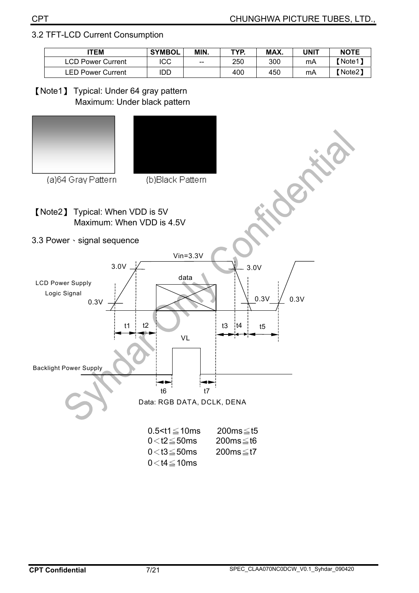#### 3.2 TFT-LCD Current Consumption

| <b>ITEM</b>              | <b>SYMBOL</b> | MIN. | TYP. | MAX. | UNIT | <b>NOTE</b>         |
|--------------------------|---------------|------|------|------|------|---------------------|
| <b>LCD Power Current</b> | ICC           | $-$  | 250  | 300  | mA   | [Note1 <sup>7</sup> |
| <b>LED Power Current</b> | idd           |      | 400  | 450  | mA   | 【Note2】             |

[Note1] Typical: Under 64 gray pattern Maximum: Under black pattern



 $0<$ t4 $\leq$ 10ms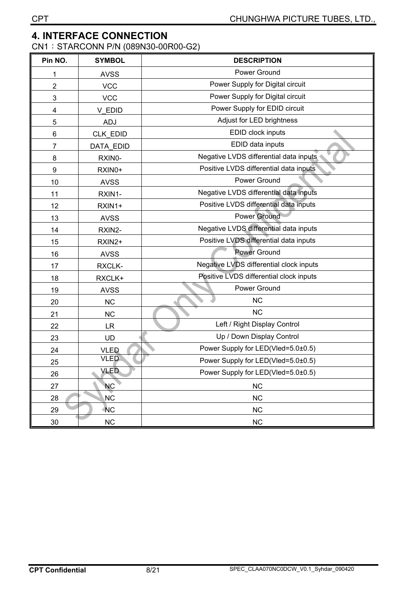#### **4. INTERFACE CONNECTION**

CN1: STARCONN P/N (089N30-00R00-G2)

| Pin NO. | <b>SYMBOL</b> | <b>DESCRIPTION</b>                      |
|---------|---------------|-----------------------------------------|
| 1       | <b>AVSS</b>   | Power Ground                            |
| 2       | <b>VCC</b>    | Power Supply for Digital circuit        |
| 3       | <b>VCC</b>    | Power Supply for Digital circuit        |
| 4       | V EDID        | Power Supply for EDID circuit           |
| 5       | ADJ           | Adjust for LED brightness               |
| 6       | CLK EDID      | EDID clock inputs                       |
| 7       | DATA EDID     | EDID data inputs                        |
| 8       | RXIN0-        | Negative LVDS differential data inputs  |
| 9       | RXIN0+        | Positive LVDS differential data inputs  |
| 10      | <b>AVSS</b>   | Power Ground                            |
| 11      | RXIN1-        | Negative LVDS differential data inputs  |
| 12      | RXIN1+        | Positive LVDS differential data inputs  |
| 13      | <b>AVSS</b>   | <b>Power Ground</b>                     |
| 14      | RXIN2-        | Negative LVDS differential data inputs  |
| 15      | RXIN2+        | Positive LVDS differential data inputs  |
| 16      | <b>AVSS</b>   | <b>Power Ground</b>                     |
| 17      | RXCLK-        | Negative LVDS differential clock inputs |
| 18      | RXCLK+        | Positive LVDS differential clock inputs |
| 19      | <b>AVSS</b>   | Power Ground                            |
| 20      | <b>NC</b>     | <b>NC</b>                               |
| 21      | <b>NC</b>     | <b>NC</b>                               |
| 22      | <b>LR</b>     | Left / Right Display Control            |
| 23      | <b>UD</b>     | Up / Down Display Control               |
| 24      | <b>VLED</b>   | Power Supply for LED(Vled=5.0±0.5)      |
| 25      | <b>VLED</b>   | Power Supply for LED(Vled=5.0±0.5)      |
| 26      | VLED          | Power Supply for LED(Vled=5.0±0.5)      |
| 27      | <b>NC</b>     | NC                                      |
| 28      | <b>NC</b>     | NC                                      |
| 29      | <b>NC</b>     | NC                                      |
| 30      | NC            | <b>NC</b>                               |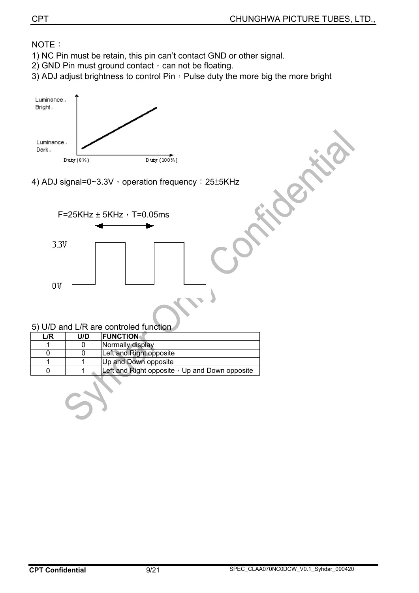#### NOTE:

- 1) NC Pin must be retain, this pin can't contact GND or other signal.
- 2) GND Pin must ground contact  $\cdot$  can not be floating.
- 3) ADJ adjust brightness to control Pin  $\cdot$  Pulse duty the more big the more bright



4) ADJ signal=0~3.3V, operation frequency: 25±5KHz



|     | <u>U U U U U U LI LI U U CU ILIUICU TUTICIUM</u> |                                                      |  |  |  |  |  |
|-----|--------------------------------------------------|------------------------------------------------------|--|--|--|--|--|
| L/R | U/D                                              | <b>IFUNCTION</b>                                     |  |  |  |  |  |
|     |                                                  | Normally display                                     |  |  |  |  |  |
|     |                                                  | Left and Right opposite                              |  |  |  |  |  |
|     |                                                  | Up and Down opposite                                 |  |  |  |  |  |
|     |                                                  | Left and Right opposite $\cdot$ Up and Down opposite |  |  |  |  |  |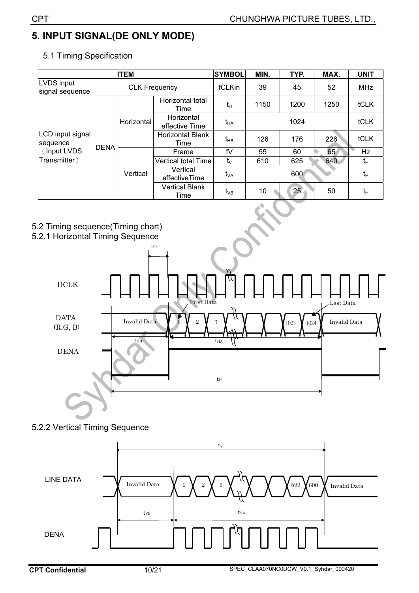### **5. INPUT SIGNAL(DE ONLY MODE)**

| <b>ITEM</b>                                                |                      |            |                               | <b>SYMBOL</b> | MIN. | TYP. | MAX. | <b>UNIT</b> |
|------------------------------------------------------------|----------------------|------------|-------------------------------|---------------|------|------|------|-------------|
| LVDS input<br>signal sequence                              | <b>CLK Frequency</b> |            |                               | fCLKin        | 39   | 45   | 52   | <b>MHz</b>  |
| LCD input signal<br>sequence<br><b>DENA</b><br>(Input LVDS |                      |            | Horizontal total<br>Time      | $t_H$         | 1150 | 1200 | 1250 | <b>tCLK</b> |
|                                                            |                      | Horizontal | Horizontal<br>effective Time  | $t_{HA}$      |      | 1024 |      | tCLK        |
|                                                            |                      |            | Horizontal Blank<br>Time      | $t_{HB}$      | 126  | 176  | 226  | <b>tCLK</b> |
|                                                            |                      | Vertical   | Frame                         | fV            | 55   | 60   | 65   | <b>Hz</b>   |
| Transmitter)                                               |                      |            | Vertical total Time           | $t_{\vee}$    | 610  | 625  | 640  | tн          |
|                                                            |                      |            | Vertical<br>effectiveTime     | $t_{VA}$      |      | 600  |      | $t_H$       |
|                                                            |                      |            | <b>Vertical Blank</b><br>Time | $t_{VB}$      | 10   | 25   | 50   | $t_H$       |

5.1 Timing Specification







#### 5.2.2 Vertical Timing Sequence

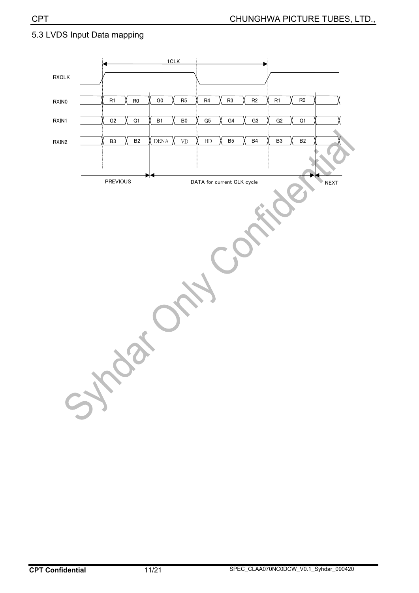#### 5.3 LVDS Input Data mapping

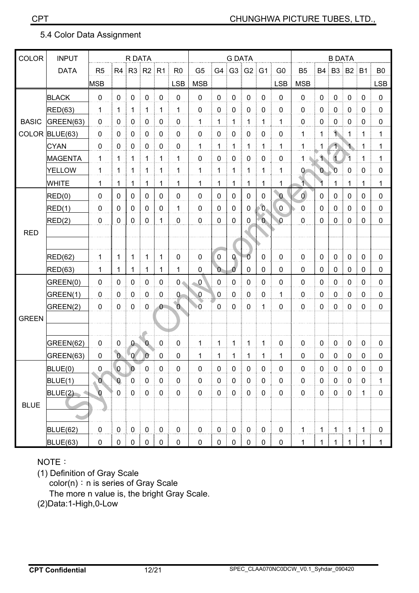#### 5.4 Color Data Assignment

| <b>COLOR</b> | <b>INPUT</b>    |                |                | R DATA         |                |                |                |                |                | <b>G DATA</b> |                  |                |                |                | <b>B DATA</b>  |                         |                      |              |                |
|--------------|-----------------|----------------|----------------|----------------|----------------|----------------|----------------|----------------|----------------|---------------|------------------|----------------|----------------|----------------|----------------|-------------------------|----------------------|--------------|----------------|
|              | <b>DATA</b>     | R <sub>5</sub> |                | R4 R3 R2       |                | R <sub>1</sub> | R <sub>0</sub> | G <sub>5</sub> | G4             | G3            | G2               | G <sub>1</sub> | G <sub>0</sub> | B <sub>5</sub> | B4             | <b>B3</b>               | B2                   | <b>B1</b>    | B <sub>0</sub> |
|              |                 | <b>MSB</b>     |                |                |                |                | <b>LSB</b>     | <b>MSB</b>     |                |               |                  |                | <b>LSB</b>     | <b>MSB</b>     |                |                         |                      |              | <b>LSB</b>     |
|              | <b>BLACK</b>    | $\mathbf 0$    | $\mathbf 0$    | $\mathbf 0$    | $\mathbf 0$    | $\mathbf 0$    | $\mathbf 0$    | $\mathbf 0$    | $\mathbf 0$    | 0             | $\mathbf 0$      | $\mathbf 0$    | $\mathbf 0$    | $\mathbf 0$    | $\mathbf 0$    | $\mathbf 0$             | $\mathbf 0$          | $\mathbf 0$  | $\mathbf 0$    |
|              | RED(63)         | 1              | $\mathbf{1}$   | 1              | $\mathbf{1}$   | $\mathbf{1}$   | $\mathbf{1}$   | $\mathbf 0$    | 0              | 0             | $\mathbf 0$      | $\mathbf 0$    | $\mathbf 0$    | $\mathbf 0$    | $\mathbf 0$    | $\pmb{0}$               | 0                    | 0            | $\mathbf 0$    |
| <b>BASIC</b> | GREEN(63)       | $\mathbf 0$    | $\mathbf 0$    | $\mathbf 0$    | $\mathbf 0$    | $\mathbf 0$    | $\mathbf 0$    | $\mathbf{1}$   | 1              | 1             | $\mathbf{1}$     | 1              | 1              | $\mathbf 0$    | 0              | 0                       | $\mathbf{0}$         | $\mathbf{0}$ | $\mathbf 0$    |
| <b>COLOR</b> | BLUE(63)        | $\mathbf 0$    | $\mathbf 0$    | $\mathbf 0$    | $\mathbf 0$    | $\mathbf 0$    | 0              | $\mathbf 0$    | 0              | 0             | $\pmb{0}$        | $\mathbf 0$    | $\mathbf 0$    | 1              | 1              | 1.                      | 1                    | 1            | 1              |
|              | <b>CYAN</b>     | $\mathbf 0$    | $\mathbf 0$    | $\mathbf 0$    | $\mathbf 0$    | 0              | $\mathbf 0$    | $\mathbf{1}$   | 1              | 1             | $\mathbf 1$      | 1              | 1              | 1              | 1              | $\left  \right $        | $\ddot{\phantom{1}}$ | 1            | 1              |
|              | <b>MAGENTA</b>  | $\mathbf 1$    | 1              | 1              | 1              | 1              | $\mathbf{1}$   | $\mathbf 0$    | $\mathbf 0$    | 0             | $\pmb{0}$        | 0              | $\mathbf 0$    | $\mathbf 1$    | 1.             | $\overline{\mathbf{1}}$ | 1                    | 1            | 1              |
|              | <b>YELLOW</b>   | $\mathbf{1}$   | $\mathbf{1}$   | 1              | $\mathbf{1}$   | 1              | 1              | $\mathbf{1}$   | 1              | 1             | $\mathbf 1$      | 1              | 1              | $\overline{0}$ | $\overline{0}$ | $\overline{0}$          | $\mathbf 0$          | 0            | $\mathbf 0$    |
|              | <b>WHITE</b>    | 1              | 1              | 1              | $\mathbf{1}$   | 1              | 1              | $\mathbf{1}$   | 1              | $\mathbf 1$   | $\mathbf 1$      | 1              | 1              | 1.             |                | 1                       | $\mathbf{1}$         | 1            | $\mathbf{1}$   |
|              | RED(0)          | $\pmb{0}$      | $\mathbf 0$    | $\mathbf 0$    | $\mathbf 0$    | 0              | $\mathbf 0$    | $\mathbf 0$    | $\mathbf 0$    | $\mathbf 0$   | $\mathbf 0$      | $\mathbf 0$    | $\overline{0}$ | $\overline{0}$ | $\mathbf 0$    | $\mathbf 0$             | $\mathbf 0$          | $\mathbf 0$  | $\mathbf 0$    |
|              | RED(1)          | $\mathbf 0$    | $\mathbf 0$    | $\mathbf 0$    | $\mathbf 0$    | $\mathbf 0$    | $\mathbf{1}$   | $\mathbf 0$    | $\mathbf 0$    | 0             | $\mathbf 0$      | $\mathbf{0}$   | $\overline{0}$ | $\mathbf 0$    | $\mathbf 0$    | 0                       | $\mathbf 0$          | $\mathbf 0$  | $\mathbf 0$    |
|              | RED(2)          | $\mathbf 0$    | $\mathbf 0$    | $\mathbf 0$    | $\mathbf 0$    | 1              | $\mathbf 0$    | $\mathbf 0$    | 0              | 0             | $\pmb{0}$        | $\mathbf{0}$   | 0              | $\overline{0}$ | 0              | 0                       | $\mathbf 0$          | $\mathbf 0$  | $\mathbf 0$    |
| <b>RED</b>   |                 |                |                |                |                |                |                |                |                |               |                  |                |                |                |                |                         |                      |              |                |
|              |                 |                |                |                |                |                |                |                |                |               |                  |                |                |                |                |                         |                      |              |                |
|              | RED(62)         | 1              | 1              | 1              | $\mathbf{1}$   | 1              | $\mathbf 0$    | $\mathbf 0$    | $\pmb{0}$      | $\mathbf{Q}$  | $\overline{0}$   | $\mathbf 0$    | $\mathbf 0$    | 0              | $\mathbf{0}$   | 0                       | 0                    | 0            | $\mathbf 0$    |
|              | RED(63)         | 1              | 1              | 1              | $\mathbf{1}$   | 1              | 1              | 0              | $\overline{0}$ | $\mathbf 0$   | 0                | 0              | 0              | 0              | 0              | 0                       | $\mathbf 0$          | $\mathbf{0}$ | $\mathbf 0$    |
|              | GREEN(0)        | $\mathbf 0$    | $\mathbf 0$    | $\mathbf 0$    | $\mathbf 0$    | 0              | $0 -$          | $\overline{0}$ | 0              | 0             | 0                | $\mathbf 0$    | 0              | 0              | 0              | 0                       | $\mathbf{0}$         | $\mathbf{0}$ | $\mathbf 0$    |
|              | GREEN(1)        | $\mathbf 0$    | $\mathbf 0$    | $\pmb{0}$      | $\mathbf 0$    | 0              | $\overline{0}$ | $\pmb{0}$      | $\mathbf 0$    | 0             | $\boldsymbol{0}$ | 0              | 1              | 0              | $\mathbf 0$    | 0                       | 0                    | 0            | 0              |
|              | GREEN(2)        | $\mathbf 0$    | $\mathbf 0$    | $\mathbf 0$    | $\mathbf 0$    | $\overline{0}$ | $\overline{0}$ | $\bullet$ 0    | 0              | 0             | $\mathbf 0$      | 1              | $\mathbf 0$    | 0              | $\mathbf 0$    | 0                       | $\mathbf 0$          | 0            | $\mathbf 0$    |
| <b>GREEN</b> |                 |                |                |                |                |                |                |                |                |               |                  |                |                |                |                |                         |                      |              |                |
|              |                 |                |                |                |                |                |                |                |                |               |                  |                |                |                |                |                         |                      |              |                |
|              | GREEN(62)       | $\mathbf 0$    | $\pmb{0}$      | $\theta$       | $\mathbf{0}$   | $\mathbf 0$    | $\pmb{0}$      | $\mathbf{1}$   | 1              | 1             | $\mathbf{1}$     | 1              | $\mathbf 0$    | 0              | $\mathbf 0$    | 0                       | $\mathbf 0$          | $\mathbf 0$  | $\mathbf 0$    |
|              | GREEN(63)       | $\mathbf 0$    | $\overline{0}$ | $\mathbf{0}$   | $\overline{0}$ | 0              | $\pmb{0}$      | $\mathbf{1}$   | 1              | 1             | $\mathbf 1$      | 1              | 1              | 0              | 0              | $\pmb{0}$               | $\mathbf 0$          | 0            | $\mathbf 0$    |
|              | BLUE(0)         | $\pmb{0}$      | $\overline{0}$ | $\overline{0}$ | $\pmb{0}$      | 0              | $\pmb{0}$      | $\pmb{0}$      | $\pmb{0}$      | $\pmb{0}$     | $\pmb{0}$        | $\pmb{0}$      | $\pmb{0}$      | 0              | $\pmb{0}$      | $\pmb{0}$               | $\pmb{0}$            | $\pmb{0}$    | $\pmb{0}$      |
|              | BLUE(1)         | $\overline{0}$ | $\overline{0}$ | $\mathbf 0$    | $\pmb{0}$      | $\mathbf 0$    | $\pmb{0}$      | $\pmb{0}$      | $\pmb{0}$      | $\pmb{0}$     | $\pmb{0}$        | $\mathbf 0$    | $\pmb{0}$      | $\pmb{0}$      | $\pmb{0}$      | $\mathbf 0$             | $\mathbf 0$          | $\mathbf 0$  | $\mathbf 1$    |
|              | BLUE(2)         | $\mathbf 0$    | $\mathbf 0$    | $\mathbf 0$    | $\pmb{0}$      | $\mathbf 0$    | $\pmb{0}$      | $\mathbf 0$    | $\pmb{0}$      | 0             | $\pmb{0}$        | $\mathbf 0$    | $\mathbf 0$    | $\pmb{0}$      | 0              | $\mathbf 0$             | $\mathsf 0$          | $\mathbf 1$  | $\pmb{0}$      |
| <b>BLUE</b>  |                 |                |                |                |                |                |                |                |                |               |                  |                |                |                |                |                         |                      |              |                |
|              |                 |                |                |                |                |                |                |                |                |               |                  |                |                |                |                |                         |                      |              |                |
|              | <b>BLUE(62)</b> | $\pmb{0}$      | $\pmb{0}$      | $\pmb{0}$      | $\pmb{0}$      | $\mathbf 0$    | $\pmb{0}$      | $\pmb{0}$      | $\pmb{0}$      | $\pmb{0}$     | $\pmb{0}$        | $\mathbf 0$    | $\pmb{0}$      | $\overline{1}$ | $\mathbf{1}$   | $\mathbf{1}$            | $\mathbf 1$          | $\mathbf{1}$ | $\pmb{0}$      |
|              | <b>BLUE(63)</b> | $\pmb{0}$      | $\pmb{0}$      | $\pmb{0}$      | $\pmb{0}$      | $\mathbf 0$    | $\pmb{0}$      | $\pmb{0}$      | $\pmb{0}$      | $\pmb{0}$     | $\pmb{0}$        | $\pmb{0}$      | $\pmb{0}$      | $\mathbf{1}$   | 1              | $\mathbf{1}$            | $\mathbf 1$          | $\mathbf{1}$ | $\mathbf{1}$   |

#### NOTE:

(1) Definition of Gray Scale

 $color(n): n$  is series of Gray Scale

The more n value is, the bright Gray Scale.

(2)Data:1-High,0-Low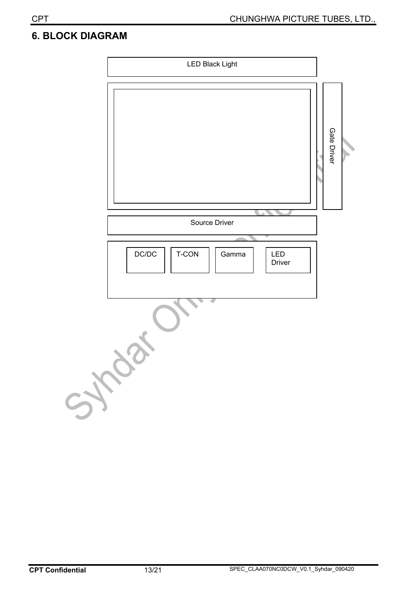#### **6. BLOCK DIAGRAM**

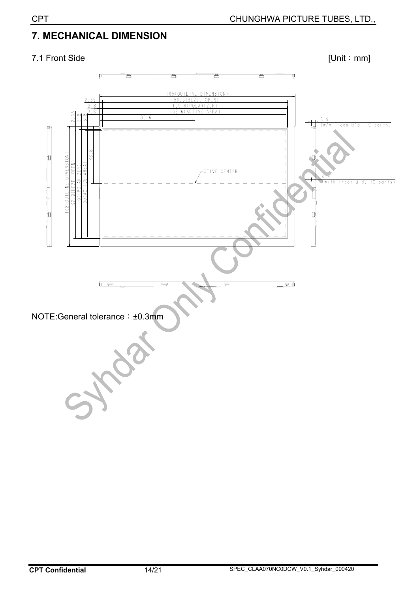#### **7. MECHANICAL DIMENSION**

#### 7.1 Front Side [Unit : mm]

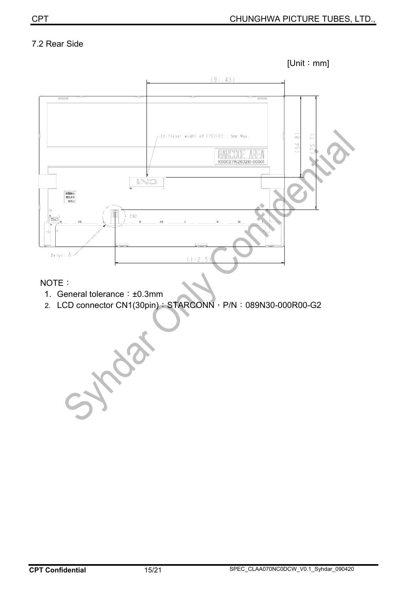#### 7.2 Rear Side



#### NOTE:

1. General tolerance: ±0.3mm

Aza

2. LCD connector CN1(30pin): STARCONN, P/N: 089N30-000R00-G2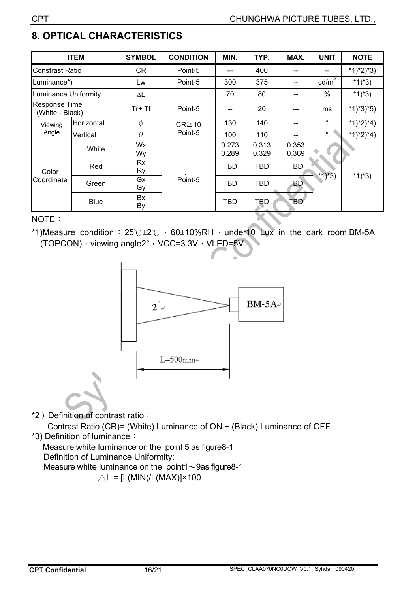#### **8. OPTICAL CHARACTERISTICS**

|                                         | <b>ITEM</b> | <b>SYMBOL</b> | <b>CONDITION</b>       | MIN.           | TYP.           | MAX.           | <b>UNIT</b>     | <b>NOTE</b> |
|-----------------------------------------|-------------|---------------|------------------------|----------------|----------------|----------------|-----------------|-------------|
| Constrast Ratio                         |             | <b>CR</b>     | Point-5                |                | 400            |                |                 | $*1)*2)*3)$ |
| Luminance*)                             |             | Lw            | Point-5                | 300            | 375            | --             | $\text{cd/m}^2$ | *1)*3)      |
| <b>Luminance Uniformity</b>             |             | $\Delta L$    |                        | 70             | 80             |                | $\%$            | *1)*3)      |
| <b>Response Time</b><br>(White - Black) |             | $Tr+Tf$       | Point-5                |                | 20             |                | ms              | $*1)*3*5)$  |
| Viewing                                 | Horizontal  | $\phi$        | $CR \ge 10$<br>Point-5 | 130            | 140            |                | $\circ$         | $*1)*2)*4)$ |
| Angle                                   | Vertical    | $\theta$      |                        | 100            | 110            |                | $\circ$         | *1)*2)*4)   |
|                                         | White       | Wx<br>Wy      |                        | 0.273<br>0.289 | 0.313<br>0.329 | 0.353<br>0.369 | * $1)*3)$       | *1)*3)      |
| Color                                   | Red         | Rx<br>Ry      |                        | TBD            | <b>TBD</b>     | <b>TBD</b>     |                 |             |
| Coordinate                              | Green       | Gx<br>Gy      | Point-5                | TBD            | <b>TBD</b>     | TBD            |                 |             |
|                                         | <b>Blue</b> | Bx<br>By      |                        | <b>TBD</b>     | <b>TBD</b>     | TBD.           |                 |             |

#### NOTE:

\*1)Measure condition:  $25^\circ C \pm 2^\circ C$ , 60±10%RH, under10 Lux in the dark room.BM-5A (TOPCON)  $\cdot$  viewing angle2°  $\cdot$  VCC=3.3V  $\cdot$  VLED=5V.



\*2) Definition of contrast ratio:

 Contrast Ratio (CR)= (White) Luminance of ON ÷ (Black) Luminance of OFF \*3) Definition of luminance:

Measure white luminance on the point 5 as figure8-1 Definition of Luminance Uniformity: Measure white luminance on the point1 $\sim$ 9as figure8-1  $\triangle L = [L(MIN)/L(MAX)] \times 100$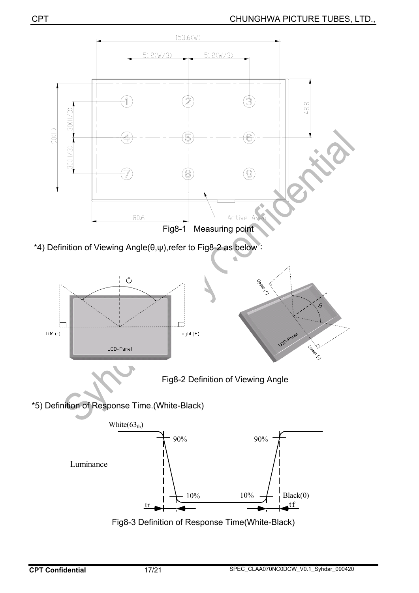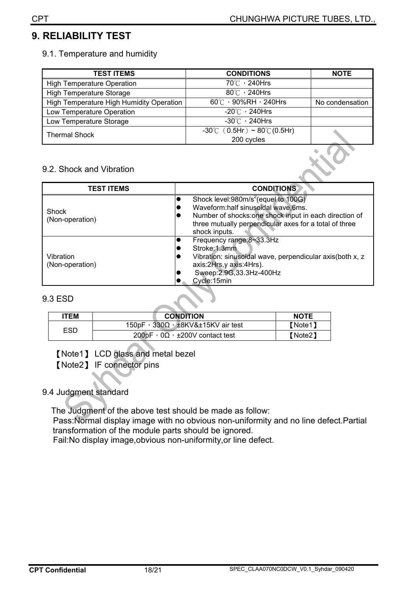#### **9. RELIABILITY TEST**

#### 9.1. Temperature and humidity

| <b>TEST ITEMS</b>                        | <b>CONDITIONS</b>                                 | <b>NOTE</b>     |
|------------------------------------------|---------------------------------------------------|-----------------|
| <b>High Temperature Operation</b>        | 70℃, 240Hrs                                       |                 |
| <b>High Temperature Storage</b>          | 80°C , 240Hrs                                     |                 |
| High Temperature High Humidity Operation | 60°C , 90%RH , 240Hrs                             | No condensation |
| Low Temperature Operation                | -20 $\degree$ C $\degree$ 240Hrs                  |                 |
| Low Temperature Storage                  | $-30^{\circ}$ $\circ$ 240Hrs                      |                 |
| <b>Thermal Shock</b>                     | $-30^{\circ}$ C (0.5Hr) ~ 80 $^{\circ}$ C (0.5Hr) |                 |
|                                          | 200 cycles                                        |                 |

#### 9.2. Shock and Vibration

| <b>TEST ITEMS</b>            | <b>CONDITIONS</b>                                                                                                                                                                                                          |
|------------------------------|----------------------------------------------------------------------------------------------------------------------------------------------------------------------------------------------------------------------------|
| Shock<br>(Non-operation)     | Shock level:980m/s <sup>2</sup> (equel to 100G)<br>Waveform:half sinusoidal wave,6ms.<br>Number of shocks: one shock input in each direction of<br>three mutually perpendicular axes for a total of three<br>shock inputs. |
| Vibration<br>(Non-operation) | Frequency range:8~33.3Hz<br>Stroke: 1.3mm<br>Vibration: sinusoidal wave, perpendicular axis(both x, z<br>axis:2Hrs,y axis:4Hrs).<br>Sweep: 2.9G, 33.3Hz-400Hz<br>Cycle:15min                                               |

#### 9.3 ESD

| <b>'TEM</b> | <b>CONDITION</b>                                    | <b>NOTE</b> |
|-------------|-----------------------------------------------------|-------------|
|             | 150pF, $330\Omega$ , $\pm$ 8KV& $\pm$ 15KV air test | 【Note1】     |
| ESD         | 200pF, $0\Omega$ , $\pm$ 200V contact test          | 【Note2】     |

[Note1] LCD glass and metal bezel

[Note2] IF connector pins

#### 9.4 Judgment standard

 The Judgment of the above test should be made as follow: Pass:Normal display image with no obvious non-uniformity and no line defect.Partial transformation of the module parts should be ignored.

Fail:No display image,obvious non-uniformity,or line defect.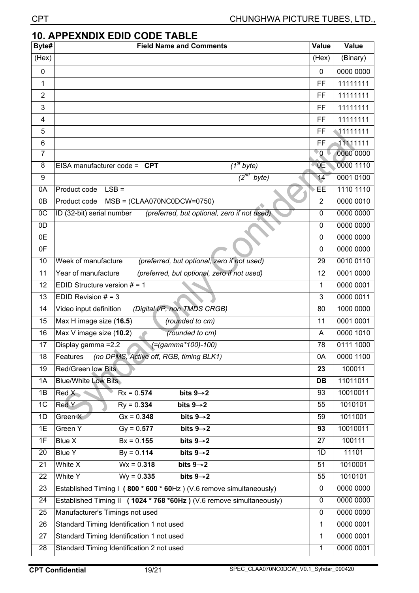| <b>CPT</b>     | <b>CHUNGHWA PICTURE TUBES, LTD.,</b>                                     |                |           |  |  |  |
|----------------|--------------------------------------------------------------------------|----------------|-----------|--|--|--|
|                | <b>10. APPEXNDIX EDID CODE TABLE</b>                                     |                |           |  |  |  |
| Byte#          | <b>Field Name and Comments</b>                                           | <b>Value</b>   | Value     |  |  |  |
| (Hex)          |                                                                          | (Hex)          | (Binary)  |  |  |  |
| $\pmb{0}$      |                                                                          | $\mathbf 0$    | 0000 0000 |  |  |  |
| 1              |                                                                          | <b>FF</b>      | 11111111  |  |  |  |
| $\overline{2}$ |                                                                          | FF             | 11111111  |  |  |  |
| 3              |                                                                          | FF             | 11111111  |  |  |  |
| 4              |                                                                          | FF             | 11111111  |  |  |  |
| 5              |                                                                          | FF             | 11111111  |  |  |  |
| 6              |                                                                          | <b>FF</b>      | 11111111  |  |  |  |
| $\overline{7}$ |                                                                          | 'O J           | 0000 0000 |  |  |  |
| 8              | $\overline{I^{st}}$ byte)<br>EISA manufacturer code = $CPT$              | 0E             | 0000 1110 |  |  |  |
| 9              | $\sqrt{2^{nd}}$<br>byte)                                                 | 14             | 0001 0100 |  |  |  |
| 0A             | $LSB =$<br>Product code                                                  | EE             | 1110 1110 |  |  |  |
| 0B             | $MSB = (CLAA070NC0DCW=0750)$<br>Product code                             | $\overline{2}$ | 0000 0010 |  |  |  |
| $_{0C}$        | (preferred, but optional, zero if not used)<br>ID (32-bit) serial number | $\mathbf 0$    | 0000 0000 |  |  |  |
| 0D             |                                                                          | $\mathbf 0$    | 0000 0000 |  |  |  |
| 0E             |                                                                          | $\mathbf 0$    | 0000 0000 |  |  |  |
| 0F             |                                                                          | $\mathbf{0}$   | 0000 0000 |  |  |  |
| 10             | Week of manufacture<br>(preferred, but optional, zero if not used)       | 29             | 0010 0110 |  |  |  |
| 11             | (preferred, but optional, zero if not used)<br>Year of manufacture       | 12             | 0001 0000 |  |  |  |
| 12             | EDID Structure version $# = 1$                                           | 1              | 0000 0001 |  |  |  |
| 13             | EDID Revision $# = 3$                                                    | 3              | 0000 0011 |  |  |  |
| 14             | (Digital I/P, non TMDS CRGB)<br>Video input definition                   | 80             | 1000 0000 |  |  |  |
| 15             | Max H image size (16.5)<br>(rounded to cm)                               | 11             | 0001 0001 |  |  |  |
| 16             | Max V image size (10.2)<br>(rounded to cm)                               | A              | 0000 1010 |  |  |  |
| 17             | (=(gamma*100)-100)<br>Display gamma = 2.2                                | 78             | 0111 1000 |  |  |  |
| 18             | Features<br>(no DPMS, Active off, RGB, timing BLK1)                      | 0A             | 0000 1100 |  |  |  |
| 19             | Red/Green low Bits                                                       | 23             | 100011    |  |  |  |
| 1A             | <b>Blue/White Low Bits</b>                                               | DB             | 11011011  |  |  |  |
| 1B             | Red X<br>$Rx = 0.574$<br>bits $9 \rightarrow 2$                          | 93             | 10010011  |  |  |  |
| 1 <sup>C</sup> | Red Y<br>$Ry = 0.334$<br>bits $9 \rightarrow 2$                          | 55             | 1010101   |  |  |  |
| 1D             | Green X<br>$Gx = 0.348$<br>bits $9 \rightarrow 2$                        | 59             | 1011001   |  |  |  |
| 1E             | Green Y<br>$Gy = 0.577$<br>bits $9 \rightarrow 2$                        | 93             | 10010011  |  |  |  |
| 1F             | bits $9 \rightarrow 2$<br>Blue X<br>$Bx = 0.155$                         | 27             | 100111    |  |  |  |
| 20             | bits $9 \rightarrow 2$<br><b>Blue Y</b><br>$By = 0.114$                  | 1D             | 11101     |  |  |  |
| 21             | White X<br>$Wx = 0.318$<br>bits $9\rightarrow 2$                         | 51             | 1010001   |  |  |  |
| 22             | White Y<br>$Wy = 0.335$<br>bits $9 \rightarrow 2$                        | 55             | 1010101   |  |  |  |
| 23             | Established Timing I (800 * 600 * 60Hz) (V.6 remove simultaneously)      | $\mathbf{0}$   | 0000 0000 |  |  |  |
| 24             | Established Timing II (1024 * 768 *60Hz) (V.6 remove simultaneously)     | $\mathbf 0$    | 0000 0000 |  |  |  |
| 25             | Manufacturer's Timings not used                                          | $\mathbf{0}$   | 0000 0000 |  |  |  |
| 26             | Standard Timing Identification 1 not used                                | 1              | 0000 0001 |  |  |  |
| 27             | Standard Timing Identification 1 not used                                | $\mathbf{1}$   | 0000 0001 |  |  |  |
| 28             | Standard Timing Identification 2 not used                                | $\mathbf{1}$   | 0000 0001 |  |  |  |
|                |                                                                          |                |           |  |  |  |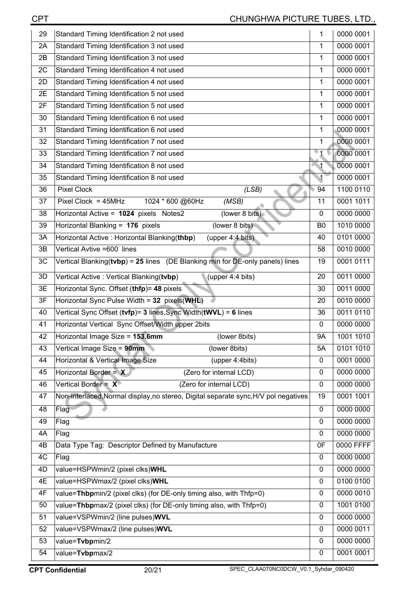| Standard Timing Identification 3 not used<br>0000 0001<br>2A<br>1<br>Standard Timing Identification 3 not used<br>0000 0001<br>1<br>2B<br>Standard Timing Identification 4 not used<br>0000 0001<br>2C<br>1<br>Standard Timing Identification 4 not used<br>0000 0001<br>1<br>2D<br>Standard Timing Identification 5 not used<br>0000 0001<br>2E<br>1<br>Standard Timing Identification 5 not used<br>0000 0001<br>2F<br>1<br>Standard Timing Identification 6 not used<br>0000 0001<br>30<br>1<br>Standard Timing Identification 6 not used<br>0000 0001<br>1<br>31<br>Standard Timing Identification 7 not used<br>0000 0001<br>1<br>32<br>$\mathbf{I}$<br>0000 0001<br>Standard Timing Identification 7 not used<br>33<br>0000 0001<br>Standard Timing Identification 8 not used<br>$\blacksquare$<br>34<br>Standard Timing Identification 8 not used<br>$\blacktriangleleft$<br>0000 0001<br>35<br>1100 0110<br><b>Pixel Clock</b><br>(LSB)<br>94<br>36<br>0001 1011<br>Pixel Clock = $45MHz$<br>1024 * 600 @60Hz<br>(MSB)<br>11<br>37<br>(lower 8 bits)<br>0000 0000<br>Horizontal Active = 1024 pixels Notes2<br>$\mathbf 0$<br>38<br>1010 0000<br>Horizontal Blanking = 176 pixels<br>(lower 8 bits)<br>39<br>B <sub>0</sub><br>0101 0000<br>Horizontal Active: Horizontal Blanking(thbp)<br>(upper 4:4 bits)<br>40<br>3A<br>Vertical Avtive =600 lines<br>0010 0000<br>3B<br>58<br>Vertical Blanking( $t vbp$ ) = 25 lines (DE Blanking min for DE-only panels) lines<br>0001 0111<br>3C<br>19<br>(upper 4:4 bits)<br>0011 0000<br>3D<br>Vertical Active: Vertical Blanking(tvbp)<br>20<br>0011 0000<br>3E<br>Horizontal Sync. Offset (thfp)= 48 pixels<br>30<br>0010 0000<br>Horizontal Sync Pulse Width = 32 pixels(WHL)<br>3F<br>20<br>Vertical Sync Offset (tvfp)= 3 lines, Sync Width(tWVL) = 6 lines<br>36<br>0011 0110<br>40<br>Horizontal Vertical Sync Offset/Width upper 2bits<br>0000 0000<br>41<br>$\mathbf 0$<br>Horizontal Image Size = 153.6mm<br>1001 1010<br>42<br>(lower 8bits)<br><b>9A</b><br>Vertical Image Size = 90mm<br>(lower 8bits)<br>43<br>0101 1010<br>5A<br>Horizontal & Vertical Image Size<br>(upper 4:4bits)<br>0001 0000<br>44<br>0<br>Horizontal Border = $X$<br>0000 0000<br>(Zero for internal LCD)<br>45<br>0<br>Vertical Border = $X^*$<br>0000 0000<br>0<br>46<br>(Zero for internal LCD)<br>Non-interlaced, Normal display, no stereo, Digital separate sync, H/V pol negatives<br>0001 1001<br>19<br>47<br>0000 0000<br>Flag<br>0<br>48<br>0000 0000<br>49<br>$\mathbf 0$<br>Flag<br>0000 0000<br>4A<br>Flag<br>$\mathbf 0$<br>Data Type Tag: Descriptor Defined by Manufacture<br>0F<br>0000 FFFF<br>4B<br>0000 0000<br>4C<br>Flag<br>$\mathbf{0}$<br>0000 0000<br>value=HSPWmin/2 (pixel clks)WHL<br>4D<br>0<br>0100 0100<br>value=HSPWmax/2 (pixel clks)WHL<br>4E<br>$\mathbf{0}$<br>0000 0010<br>value=Thbpmin/2 (pixel clks) (for DE-only timing also, with Thfp=0)<br>4F<br>$\mathbf{0}$<br>value=Thbpmax/2 (pixel clks) (for DE-only timing also, with Thfp=0)<br>1001 0100<br>$\mathbf 0$<br>50<br>value=VSPWmin/2 (line pulses)WVL<br>0000 0000<br>51<br>$\mathbf 0$<br>value=VSPWmax/2 (line pulses)WVL<br>0000 0011<br>52<br>$\mathbf{0}$<br>0000 0000<br>53<br>value=Tvbpmin/2<br>0<br>value=Tvbpmax/2<br>0001 0001<br>54<br>0 | 29 | Standard Timing Identification 2 not used | 1 | 0000 0001 |
|----------------------------------------------------------------------------------------------------------------------------------------------------------------------------------------------------------------------------------------------------------------------------------------------------------------------------------------------------------------------------------------------------------------------------------------------------------------------------------------------------------------------------------------------------------------------------------------------------------------------------------------------------------------------------------------------------------------------------------------------------------------------------------------------------------------------------------------------------------------------------------------------------------------------------------------------------------------------------------------------------------------------------------------------------------------------------------------------------------------------------------------------------------------------------------------------------------------------------------------------------------------------------------------------------------------------------------------------------------------------------------------------------------------------------------------------------------------------------------------------------------------------------------------------------------------------------------------------------------------------------------------------------------------------------------------------------------------------------------------------------------------------------------------------------------------------------------------------------------------------------------------------------------------------------------------------------------------------------------------------------------------------------------------------------------------------------------------------------------------------------------------------------------------------------------------------------------------------------------------------------------------------------------------------------------------------------------------------------------------------------------------------------------------------------------------------------------------------------------------------------------------------------------------------------------------------------------------------------------------------------------------------------------------------------------------------------------------------------------------------------------------------------------------------------------------------------------------------------------------------------------------------------------------------------------------------------------------------------------------------------------------------------------------------------------------------------------------------------------------------------------------------------------------------------------------------------------------------------------------------------------------------------------------------|----|-------------------------------------------|---|-----------|
|                                                                                                                                                                                                                                                                                                                                                                                                                                                                                                                                                                                                                                                                                                                                                                                                                                                                                                                                                                                                                                                                                                                                                                                                                                                                                                                                                                                                                                                                                                                                                                                                                                                                                                                                                                                                                                                                                                                                                                                                                                                                                                                                                                                                                                                                                                                                                                                                                                                                                                                                                                                                                                                                                                                                                                                                                                                                                                                                                                                                                                                                                                                                                                                                                                                                                              |    |                                           |   |           |
|                                                                                                                                                                                                                                                                                                                                                                                                                                                                                                                                                                                                                                                                                                                                                                                                                                                                                                                                                                                                                                                                                                                                                                                                                                                                                                                                                                                                                                                                                                                                                                                                                                                                                                                                                                                                                                                                                                                                                                                                                                                                                                                                                                                                                                                                                                                                                                                                                                                                                                                                                                                                                                                                                                                                                                                                                                                                                                                                                                                                                                                                                                                                                                                                                                                                                              |    |                                           |   |           |
|                                                                                                                                                                                                                                                                                                                                                                                                                                                                                                                                                                                                                                                                                                                                                                                                                                                                                                                                                                                                                                                                                                                                                                                                                                                                                                                                                                                                                                                                                                                                                                                                                                                                                                                                                                                                                                                                                                                                                                                                                                                                                                                                                                                                                                                                                                                                                                                                                                                                                                                                                                                                                                                                                                                                                                                                                                                                                                                                                                                                                                                                                                                                                                                                                                                                                              |    |                                           |   |           |
|                                                                                                                                                                                                                                                                                                                                                                                                                                                                                                                                                                                                                                                                                                                                                                                                                                                                                                                                                                                                                                                                                                                                                                                                                                                                                                                                                                                                                                                                                                                                                                                                                                                                                                                                                                                                                                                                                                                                                                                                                                                                                                                                                                                                                                                                                                                                                                                                                                                                                                                                                                                                                                                                                                                                                                                                                                                                                                                                                                                                                                                                                                                                                                                                                                                                                              |    |                                           |   |           |
|                                                                                                                                                                                                                                                                                                                                                                                                                                                                                                                                                                                                                                                                                                                                                                                                                                                                                                                                                                                                                                                                                                                                                                                                                                                                                                                                                                                                                                                                                                                                                                                                                                                                                                                                                                                                                                                                                                                                                                                                                                                                                                                                                                                                                                                                                                                                                                                                                                                                                                                                                                                                                                                                                                                                                                                                                                                                                                                                                                                                                                                                                                                                                                                                                                                                                              |    |                                           |   |           |
|                                                                                                                                                                                                                                                                                                                                                                                                                                                                                                                                                                                                                                                                                                                                                                                                                                                                                                                                                                                                                                                                                                                                                                                                                                                                                                                                                                                                                                                                                                                                                                                                                                                                                                                                                                                                                                                                                                                                                                                                                                                                                                                                                                                                                                                                                                                                                                                                                                                                                                                                                                                                                                                                                                                                                                                                                                                                                                                                                                                                                                                                                                                                                                                                                                                                                              |    |                                           |   |           |
|                                                                                                                                                                                                                                                                                                                                                                                                                                                                                                                                                                                                                                                                                                                                                                                                                                                                                                                                                                                                                                                                                                                                                                                                                                                                                                                                                                                                                                                                                                                                                                                                                                                                                                                                                                                                                                                                                                                                                                                                                                                                                                                                                                                                                                                                                                                                                                                                                                                                                                                                                                                                                                                                                                                                                                                                                                                                                                                                                                                                                                                                                                                                                                                                                                                                                              |    |                                           |   |           |
|                                                                                                                                                                                                                                                                                                                                                                                                                                                                                                                                                                                                                                                                                                                                                                                                                                                                                                                                                                                                                                                                                                                                                                                                                                                                                                                                                                                                                                                                                                                                                                                                                                                                                                                                                                                                                                                                                                                                                                                                                                                                                                                                                                                                                                                                                                                                                                                                                                                                                                                                                                                                                                                                                                                                                                                                                                                                                                                                                                                                                                                                                                                                                                                                                                                                                              |    |                                           |   |           |
|                                                                                                                                                                                                                                                                                                                                                                                                                                                                                                                                                                                                                                                                                                                                                                                                                                                                                                                                                                                                                                                                                                                                                                                                                                                                                                                                                                                                                                                                                                                                                                                                                                                                                                                                                                                                                                                                                                                                                                                                                                                                                                                                                                                                                                                                                                                                                                                                                                                                                                                                                                                                                                                                                                                                                                                                                                                                                                                                                                                                                                                                                                                                                                                                                                                                                              |    |                                           |   |           |
|                                                                                                                                                                                                                                                                                                                                                                                                                                                                                                                                                                                                                                                                                                                                                                                                                                                                                                                                                                                                                                                                                                                                                                                                                                                                                                                                                                                                                                                                                                                                                                                                                                                                                                                                                                                                                                                                                                                                                                                                                                                                                                                                                                                                                                                                                                                                                                                                                                                                                                                                                                                                                                                                                                                                                                                                                                                                                                                                                                                                                                                                                                                                                                                                                                                                                              |    |                                           |   |           |
|                                                                                                                                                                                                                                                                                                                                                                                                                                                                                                                                                                                                                                                                                                                                                                                                                                                                                                                                                                                                                                                                                                                                                                                                                                                                                                                                                                                                                                                                                                                                                                                                                                                                                                                                                                                                                                                                                                                                                                                                                                                                                                                                                                                                                                                                                                                                                                                                                                                                                                                                                                                                                                                                                                                                                                                                                                                                                                                                                                                                                                                                                                                                                                                                                                                                                              |    |                                           |   |           |
|                                                                                                                                                                                                                                                                                                                                                                                                                                                                                                                                                                                                                                                                                                                                                                                                                                                                                                                                                                                                                                                                                                                                                                                                                                                                                                                                                                                                                                                                                                                                                                                                                                                                                                                                                                                                                                                                                                                                                                                                                                                                                                                                                                                                                                                                                                                                                                                                                                                                                                                                                                                                                                                                                                                                                                                                                                                                                                                                                                                                                                                                                                                                                                                                                                                                                              |    |                                           |   |           |
|                                                                                                                                                                                                                                                                                                                                                                                                                                                                                                                                                                                                                                                                                                                                                                                                                                                                                                                                                                                                                                                                                                                                                                                                                                                                                                                                                                                                                                                                                                                                                                                                                                                                                                                                                                                                                                                                                                                                                                                                                                                                                                                                                                                                                                                                                                                                                                                                                                                                                                                                                                                                                                                                                                                                                                                                                                                                                                                                                                                                                                                                                                                                                                                                                                                                                              |    |                                           |   |           |
|                                                                                                                                                                                                                                                                                                                                                                                                                                                                                                                                                                                                                                                                                                                                                                                                                                                                                                                                                                                                                                                                                                                                                                                                                                                                                                                                                                                                                                                                                                                                                                                                                                                                                                                                                                                                                                                                                                                                                                                                                                                                                                                                                                                                                                                                                                                                                                                                                                                                                                                                                                                                                                                                                                                                                                                                                                                                                                                                                                                                                                                                                                                                                                                                                                                                                              |    |                                           |   |           |
|                                                                                                                                                                                                                                                                                                                                                                                                                                                                                                                                                                                                                                                                                                                                                                                                                                                                                                                                                                                                                                                                                                                                                                                                                                                                                                                                                                                                                                                                                                                                                                                                                                                                                                                                                                                                                                                                                                                                                                                                                                                                                                                                                                                                                                                                                                                                                                                                                                                                                                                                                                                                                                                                                                                                                                                                                                                                                                                                                                                                                                                                                                                                                                                                                                                                                              |    |                                           |   |           |
|                                                                                                                                                                                                                                                                                                                                                                                                                                                                                                                                                                                                                                                                                                                                                                                                                                                                                                                                                                                                                                                                                                                                                                                                                                                                                                                                                                                                                                                                                                                                                                                                                                                                                                                                                                                                                                                                                                                                                                                                                                                                                                                                                                                                                                                                                                                                                                                                                                                                                                                                                                                                                                                                                                                                                                                                                                                                                                                                                                                                                                                                                                                                                                                                                                                                                              |    |                                           |   |           |
|                                                                                                                                                                                                                                                                                                                                                                                                                                                                                                                                                                                                                                                                                                                                                                                                                                                                                                                                                                                                                                                                                                                                                                                                                                                                                                                                                                                                                                                                                                                                                                                                                                                                                                                                                                                                                                                                                                                                                                                                                                                                                                                                                                                                                                                                                                                                                                                                                                                                                                                                                                                                                                                                                                                                                                                                                                                                                                                                                                                                                                                                                                                                                                                                                                                                                              |    |                                           |   |           |
|                                                                                                                                                                                                                                                                                                                                                                                                                                                                                                                                                                                                                                                                                                                                                                                                                                                                                                                                                                                                                                                                                                                                                                                                                                                                                                                                                                                                                                                                                                                                                                                                                                                                                                                                                                                                                                                                                                                                                                                                                                                                                                                                                                                                                                                                                                                                                                                                                                                                                                                                                                                                                                                                                                                                                                                                                                                                                                                                                                                                                                                                                                                                                                                                                                                                                              |    |                                           |   |           |
|                                                                                                                                                                                                                                                                                                                                                                                                                                                                                                                                                                                                                                                                                                                                                                                                                                                                                                                                                                                                                                                                                                                                                                                                                                                                                                                                                                                                                                                                                                                                                                                                                                                                                                                                                                                                                                                                                                                                                                                                                                                                                                                                                                                                                                                                                                                                                                                                                                                                                                                                                                                                                                                                                                                                                                                                                                                                                                                                                                                                                                                                                                                                                                                                                                                                                              |    |                                           |   |           |
|                                                                                                                                                                                                                                                                                                                                                                                                                                                                                                                                                                                                                                                                                                                                                                                                                                                                                                                                                                                                                                                                                                                                                                                                                                                                                                                                                                                                                                                                                                                                                                                                                                                                                                                                                                                                                                                                                                                                                                                                                                                                                                                                                                                                                                                                                                                                                                                                                                                                                                                                                                                                                                                                                                                                                                                                                                                                                                                                                                                                                                                                                                                                                                                                                                                                                              |    |                                           |   |           |
|                                                                                                                                                                                                                                                                                                                                                                                                                                                                                                                                                                                                                                                                                                                                                                                                                                                                                                                                                                                                                                                                                                                                                                                                                                                                                                                                                                                                                                                                                                                                                                                                                                                                                                                                                                                                                                                                                                                                                                                                                                                                                                                                                                                                                                                                                                                                                                                                                                                                                                                                                                                                                                                                                                                                                                                                                                                                                                                                                                                                                                                                                                                                                                                                                                                                                              |    |                                           |   |           |
|                                                                                                                                                                                                                                                                                                                                                                                                                                                                                                                                                                                                                                                                                                                                                                                                                                                                                                                                                                                                                                                                                                                                                                                                                                                                                                                                                                                                                                                                                                                                                                                                                                                                                                                                                                                                                                                                                                                                                                                                                                                                                                                                                                                                                                                                                                                                                                                                                                                                                                                                                                                                                                                                                                                                                                                                                                                                                                                                                                                                                                                                                                                                                                                                                                                                                              |    |                                           |   |           |
|                                                                                                                                                                                                                                                                                                                                                                                                                                                                                                                                                                                                                                                                                                                                                                                                                                                                                                                                                                                                                                                                                                                                                                                                                                                                                                                                                                                                                                                                                                                                                                                                                                                                                                                                                                                                                                                                                                                                                                                                                                                                                                                                                                                                                                                                                                                                                                                                                                                                                                                                                                                                                                                                                                                                                                                                                                                                                                                                                                                                                                                                                                                                                                                                                                                                                              |    |                                           |   |           |
|                                                                                                                                                                                                                                                                                                                                                                                                                                                                                                                                                                                                                                                                                                                                                                                                                                                                                                                                                                                                                                                                                                                                                                                                                                                                                                                                                                                                                                                                                                                                                                                                                                                                                                                                                                                                                                                                                                                                                                                                                                                                                                                                                                                                                                                                                                                                                                                                                                                                                                                                                                                                                                                                                                                                                                                                                                                                                                                                                                                                                                                                                                                                                                                                                                                                                              |    |                                           |   |           |
|                                                                                                                                                                                                                                                                                                                                                                                                                                                                                                                                                                                                                                                                                                                                                                                                                                                                                                                                                                                                                                                                                                                                                                                                                                                                                                                                                                                                                                                                                                                                                                                                                                                                                                                                                                                                                                                                                                                                                                                                                                                                                                                                                                                                                                                                                                                                                                                                                                                                                                                                                                                                                                                                                                                                                                                                                                                                                                                                                                                                                                                                                                                                                                                                                                                                                              |    |                                           |   |           |
|                                                                                                                                                                                                                                                                                                                                                                                                                                                                                                                                                                                                                                                                                                                                                                                                                                                                                                                                                                                                                                                                                                                                                                                                                                                                                                                                                                                                                                                                                                                                                                                                                                                                                                                                                                                                                                                                                                                                                                                                                                                                                                                                                                                                                                                                                                                                                                                                                                                                                                                                                                                                                                                                                                                                                                                                                                                                                                                                                                                                                                                                                                                                                                                                                                                                                              |    |                                           |   |           |
|                                                                                                                                                                                                                                                                                                                                                                                                                                                                                                                                                                                                                                                                                                                                                                                                                                                                                                                                                                                                                                                                                                                                                                                                                                                                                                                                                                                                                                                                                                                                                                                                                                                                                                                                                                                                                                                                                                                                                                                                                                                                                                                                                                                                                                                                                                                                                                                                                                                                                                                                                                                                                                                                                                                                                                                                                                                                                                                                                                                                                                                                                                                                                                                                                                                                                              |    |                                           |   |           |
|                                                                                                                                                                                                                                                                                                                                                                                                                                                                                                                                                                                                                                                                                                                                                                                                                                                                                                                                                                                                                                                                                                                                                                                                                                                                                                                                                                                                                                                                                                                                                                                                                                                                                                                                                                                                                                                                                                                                                                                                                                                                                                                                                                                                                                                                                                                                                                                                                                                                                                                                                                                                                                                                                                                                                                                                                                                                                                                                                                                                                                                                                                                                                                                                                                                                                              |    |                                           |   |           |
|                                                                                                                                                                                                                                                                                                                                                                                                                                                                                                                                                                                                                                                                                                                                                                                                                                                                                                                                                                                                                                                                                                                                                                                                                                                                                                                                                                                                                                                                                                                                                                                                                                                                                                                                                                                                                                                                                                                                                                                                                                                                                                                                                                                                                                                                                                                                                                                                                                                                                                                                                                                                                                                                                                                                                                                                                                                                                                                                                                                                                                                                                                                                                                                                                                                                                              |    |                                           |   |           |
|                                                                                                                                                                                                                                                                                                                                                                                                                                                                                                                                                                                                                                                                                                                                                                                                                                                                                                                                                                                                                                                                                                                                                                                                                                                                                                                                                                                                                                                                                                                                                                                                                                                                                                                                                                                                                                                                                                                                                                                                                                                                                                                                                                                                                                                                                                                                                                                                                                                                                                                                                                                                                                                                                                                                                                                                                                                                                                                                                                                                                                                                                                                                                                                                                                                                                              |    |                                           |   |           |
|                                                                                                                                                                                                                                                                                                                                                                                                                                                                                                                                                                                                                                                                                                                                                                                                                                                                                                                                                                                                                                                                                                                                                                                                                                                                                                                                                                                                                                                                                                                                                                                                                                                                                                                                                                                                                                                                                                                                                                                                                                                                                                                                                                                                                                                                                                                                                                                                                                                                                                                                                                                                                                                                                                                                                                                                                                                                                                                                                                                                                                                                                                                                                                                                                                                                                              |    |                                           |   |           |
|                                                                                                                                                                                                                                                                                                                                                                                                                                                                                                                                                                                                                                                                                                                                                                                                                                                                                                                                                                                                                                                                                                                                                                                                                                                                                                                                                                                                                                                                                                                                                                                                                                                                                                                                                                                                                                                                                                                                                                                                                                                                                                                                                                                                                                                                                                                                                                                                                                                                                                                                                                                                                                                                                                                                                                                                                                                                                                                                                                                                                                                                                                                                                                                                                                                                                              |    |                                           |   |           |
|                                                                                                                                                                                                                                                                                                                                                                                                                                                                                                                                                                                                                                                                                                                                                                                                                                                                                                                                                                                                                                                                                                                                                                                                                                                                                                                                                                                                                                                                                                                                                                                                                                                                                                                                                                                                                                                                                                                                                                                                                                                                                                                                                                                                                                                                                                                                                                                                                                                                                                                                                                                                                                                                                                                                                                                                                                                                                                                                                                                                                                                                                                                                                                                                                                                                                              |    |                                           |   |           |
|                                                                                                                                                                                                                                                                                                                                                                                                                                                                                                                                                                                                                                                                                                                                                                                                                                                                                                                                                                                                                                                                                                                                                                                                                                                                                                                                                                                                                                                                                                                                                                                                                                                                                                                                                                                                                                                                                                                                                                                                                                                                                                                                                                                                                                                                                                                                                                                                                                                                                                                                                                                                                                                                                                                                                                                                                                                                                                                                                                                                                                                                                                                                                                                                                                                                                              |    |                                           |   |           |
|                                                                                                                                                                                                                                                                                                                                                                                                                                                                                                                                                                                                                                                                                                                                                                                                                                                                                                                                                                                                                                                                                                                                                                                                                                                                                                                                                                                                                                                                                                                                                                                                                                                                                                                                                                                                                                                                                                                                                                                                                                                                                                                                                                                                                                                                                                                                                                                                                                                                                                                                                                                                                                                                                                                                                                                                                                                                                                                                                                                                                                                                                                                                                                                                                                                                                              |    |                                           |   |           |
|                                                                                                                                                                                                                                                                                                                                                                                                                                                                                                                                                                                                                                                                                                                                                                                                                                                                                                                                                                                                                                                                                                                                                                                                                                                                                                                                                                                                                                                                                                                                                                                                                                                                                                                                                                                                                                                                                                                                                                                                                                                                                                                                                                                                                                                                                                                                                                                                                                                                                                                                                                                                                                                                                                                                                                                                                                                                                                                                                                                                                                                                                                                                                                                                                                                                                              |    |                                           |   |           |
|                                                                                                                                                                                                                                                                                                                                                                                                                                                                                                                                                                                                                                                                                                                                                                                                                                                                                                                                                                                                                                                                                                                                                                                                                                                                                                                                                                                                                                                                                                                                                                                                                                                                                                                                                                                                                                                                                                                                                                                                                                                                                                                                                                                                                                                                                                                                                                                                                                                                                                                                                                                                                                                                                                                                                                                                                                                                                                                                                                                                                                                                                                                                                                                                                                                                                              |    |                                           |   |           |
|                                                                                                                                                                                                                                                                                                                                                                                                                                                                                                                                                                                                                                                                                                                                                                                                                                                                                                                                                                                                                                                                                                                                                                                                                                                                                                                                                                                                                                                                                                                                                                                                                                                                                                                                                                                                                                                                                                                                                                                                                                                                                                                                                                                                                                                                                                                                                                                                                                                                                                                                                                                                                                                                                                                                                                                                                                                                                                                                                                                                                                                                                                                                                                                                                                                                                              |    |                                           |   |           |
|                                                                                                                                                                                                                                                                                                                                                                                                                                                                                                                                                                                                                                                                                                                                                                                                                                                                                                                                                                                                                                                                                                                                                                                                                                                                                                                                                                                                                                                                                                                                                                                                                                                                                                                                                                                                                                                                                                                                                                                                                                                                                                                                                                                                                                                                                                                                                                                                                                                                                                                                                                                                                                                                                                                                                                                                                                                                                                                                                                                                                                                                                                                                                                                                                                                                                              |    |                                           |   |           |
|                                                                                                                                                                                                                                                                                                                                                                                                                                                                                                                                                                                                                                                                                                                                                                                                                                                                                                                                                                                                                                                                                                                                                                                                                                                                                                                                                                                                                                                                                                                                                                                                                                                                                                                                                                                                                                                                                                                                                                                                                                                                                                                                                                                                                                                                                                                                                                                                                                                                                                                                                                                                                                                                                                                                                                                                                                                                                                                                                                                                                                                                                                                                                                                                                                                                                              |    |                                           |   |           |
|                                                                                                                                                                                                                                                                                                                                                                                                                                                                                                                                                                                                                                                                                                                                                                                                                                                                                                                                                                                                                                                                                                                                                                                                                                                                                                                                                                                                                                                                                                                                                                                                                                                                                                                                                                                                                                                                                                                                                                                                                                                                                                                                                                                                                                                                                                                                                                                                                                                                                                                                                                                                                                                                                                                                                                                                                                                                                                                                                                                                                                                                                                                                                                                                                                                                                              |    |                                           |   |           |
|                                                                                                                                                                                                                                                                                                                                                                                                                                                                                                                                                                                                                                                                                                                                                                                                                                                                                                                                                                                                                                                                                                                                                                                                                                                                                                                                                                                                                                                                                                                                                                                                                                                                                                                                                                                                                                                                                                                                                                                                                                                                                                                                                                                                                                                                                                                                                                                                                                                                                                                                                                                                                                                                                                                                                                                                                                                                                                                                                                                                                                                                                                                                                                                                                                                                                              |    |                                           |   |           |
|                                                                                                                                                                                                                                                                                                                                                                                                                                                                                                                                                                                                                                                                                                                                                                                                                                                                                                                                                                                                                                                                                                                                                                                                                                                                                                                                                                                                                                                                                                                                                                                                                                                                                                                                                                                                                                                                                                                                                                                                                                                                                                                                                                                                                                                                                                                                                                                                                                                                                                                                                                                                                                                                                                                                                                                                                                                                                                                                                                                                                                                                                                                                                                                                                                                                                              |    |                                           |   |           |